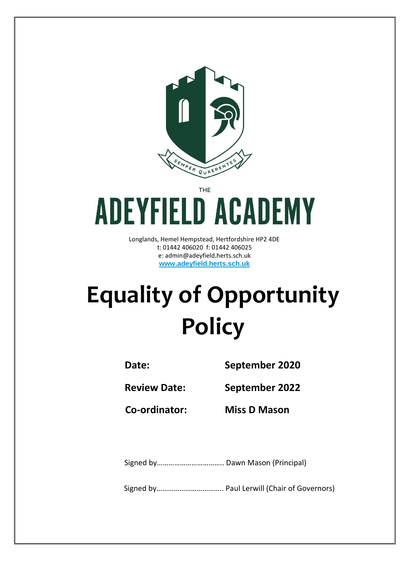

THE

# **ADEYFIELD ACADEMY**

Longlands, Hemel Hempstead, Hertfordshire HP2 4DE t: 01442 406020 f: 01442 406025 e: admin@adeyfield.herts.sch.uk **www.adeyfield.herts.sch.uk**

# **Equality of Opportunity Policy**

**Date: September 2020**

**Review Date: September 2022**

**Co-ordinator: Miss D Mason**

Signed by…………………………….. Dawn Mason (Principal)

Signed by…………………………….. Paul Lerwill (Chair of Governors)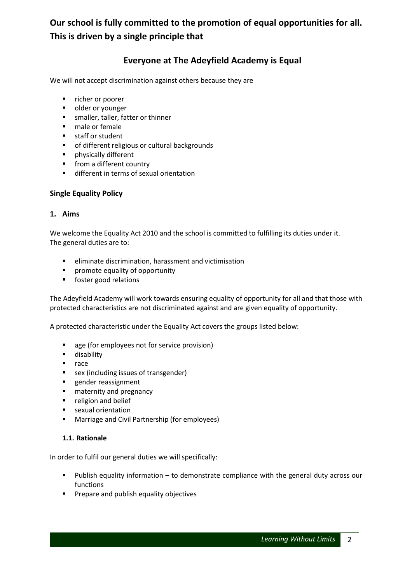## **Our school is fully committed to the promotion of equal opportunities for all. This is driven by a single principle that**

### **Everyone at The Adeyfield Academy is Equal**

We will not accept discrimination against others because they are

- **F** richer or poorer
- **•** older or younger
- **smaller, taller, fatter or thinner**
- **male or female**
- **staff or student**
- **•** of different religious or cultural backgrounds
- **Physically different**
- **from a different country**
- **different in terms of sexual orientation**

#### **Single Equality Policy**

#### **1. Aims**

We welcome the Equality Act 2010 and the school is committed to fulfilling its duties under it. The general duties are to:

- eliminate discrimination, harassment and victimisation
- **P** promote equality of opportunity
- **foster good relations**

The Adeyfield Academy will work towards ensuring equality of opportunity for all and that those with protected characteristics are not discriminated against and are given equality of opportunity.

A protected characteristic under the Equality Act covers the groups listed below:

- **age (for employees not for service provision)**
- **disability**
- n race
- **sex (including issues of transgender)**
- **gender reassignment**
- **n** maternity and pregnancy
- **•** religion and belief
- **sexual orientation**
- **EXPLEMARTE And Civil Partnership (for employees)**

#### **1.1. Rationale**

In order to fulfil our general duties we will specifically:

- Publish equality information to demonstrate compliance with the general duty across our functions
- **Prepare and publish equality objectives**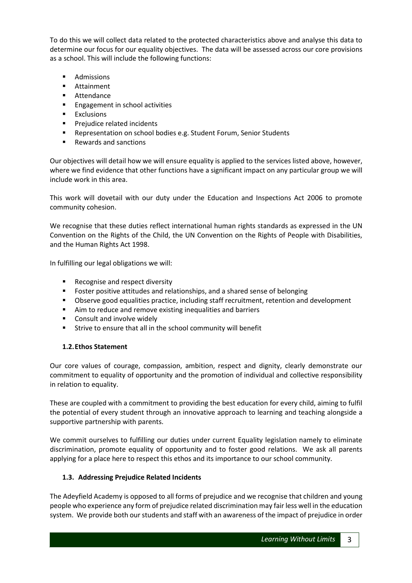To do this we will collect data related to the protected characteristics above and analyse this data to determine our focus for our equality objectives. The data will be assessed across our core provisions as a school. This will include the following functions:

- **Admissions**
- **Attainment**
- **Attendance**
- **Engagement in school activities**
- **Exclusions**
- **Prejudice related incidents**
- **EXECTE:** Representation on school bodies e.g. Student Forum, Senior Students
- Rewards and sanctions

Our objectives will detail how we will ensure equality is applied to the services listed above, however, where we find evidence that other functions have a significant impact on any particular group we will include work in this area.

This work will dovetail with our duty under the Education and Inspections Act 2006 to promote community cohesion.

We recognise that these duties reflect international human rights standards as expressed in the UN Convention on the Rights of the Child, the UN Convention on the Rights of People with Disabilities, and the Human Rights Act 1998.

In fulfilling our legal obligations we will:

- Recognise and respect diversity
- **FIC FOSTER 19 THSTER 12 THSTER 12 THSTER** FOSTER positive attitudes and relationships, and a shared sense of belonging
- Observe good equalities practice, including staff recruitment, retention and development
- Aim to reduce and remove existing inequalities and barriers
- Consult and involve widely
- Strive to ensure that all in the school community will benefit

#### **1.2.Ethos Statement**

Our core values of courage, compassion, ambition, respect and dignity, clearly demonstrate our commitment to equality of opportunity and the promotion of individual and collective responsibility in relation to equality.

These are coupled with a commitment to providing the best education for every child, aiming to fulfil the potential of every student through an innovative approach to learning and teaching alongside a supportive partnership with parents.

We commit ourselves to fulfilling our duties under current Equality legislation namely to eliminate discrimination, promote equality of opportunity and to foster good relations. We ask all parents applying for a place here to respect this ethos and its importance to our school community.

#### **1.3. Addressing Prejudice Related Incidents**

The Adeyfield Academy is opposed to all forms of prejudice and we recognise that children and young people who experience any form of prejudice related discrimination may fair less well in the education system. We provide both our students and staff with an awareness of the impact of prejudice in order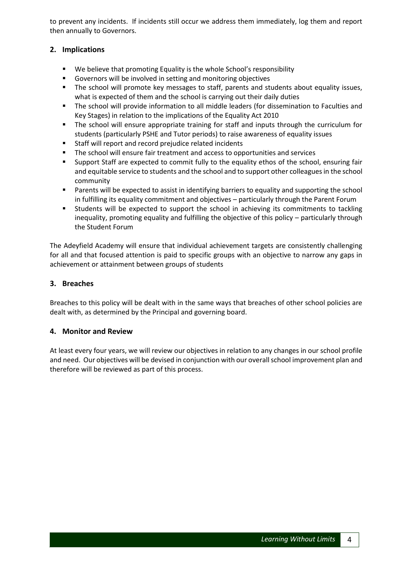to prevent any incidents. If incidents still occur we address them immediately, log them and report then annually to Governors.

#### **2. Implications**

- We believe that promoting Equality is the whole School's responsibility
- Governors will be involved in setting and monitoring objectives
- **The school will promote key messages to staff, parents and students about equality issues,** what is expected of them and the school is carrying out their daily duties
- The school will provide information to all middle leaders (for dissemination to Faculties and Key Stages) in relation to the implications of the Equality Act 2010
- The school will ensure appropriate training for staff and inputs through the curriculum for students (particularly PSHE and Tutor periods) to raise awareness of equality issues
- Staff will report and record prejudice related incidents
- The school will ensure fair treatment and access to opportunities and services
- Support Staff are expected to commit fully to the equality ethos of the school, ensuring fair and equitable service to students and the school and to support other colleagues in the school community
- **Parents will be expected to assist in identifying barriers to equality and supporting the school** in fulfilling its equality commitment and objectives – particularly through the Parent Forum
- Students will be expected to support the school in achieving its commitments to tackling inequality, promoting equality and fulfilling the objective of this policy – particularly through the Student Forum

The Adeyfield Academy will ensure that individual achievement targets are consistently challenging for all and that focused attention is paid to specific groups with an objective to narrow any gaps in achievement or attainment between groups of students

#### **3. Breaches**

Breaches to this policy will be dealt with in the same ways that breaches of other school policies are dealt with, as determined by the Principal and governing board.

#### **4. Monitor and Review**

At least every four years, we will review our objectives in relation to any changes in our school profile and need. Our objectives will be devised in conjunction with our overall school improvement plan and therefore will be reviewed as part of this process.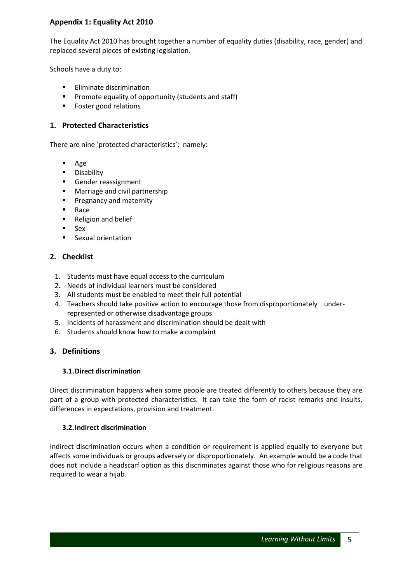#### **Appendix 1: Equality Act 2010**

The Equality Act 2010 has brought together a number of equality duties (disability, race, gender) and replaced several pieces of existing legislation.

Schools have a duty to:

- **Eliminate discrimination**
- **Promote equality of opportunity (students and staff)**
- Foster good relations

#### **1. Protected Characteristics**

There are nine 'protected characteristics'; namely:

- Age
- **Disability**
- Gender reassignment
- **Marriage and civil partnership**
- **Pregnancy and maternity**
- **Race**
- Religion and belief
- $Sex$
- **Sexual orientation**

#### **2. Checklist**

- 1. Students must have equal access to the curriculum
- 2. Needs of individual learners must be considered
- 3. All students must be enabled to meet their full potential
- 4. Teachers should take positive action to encourage those from disproportionately underrepresented or otherwise disadvantage groups
- 5. Incidents of harassment and discrimination should be dealt with
- 6. Students should know how to make a complaint

#### **3. Definitions**

#### **3.1.Direct discrimination**

Direct discrimination happens when some people are treated differently to others because they are part of a group with protected characteristics. It can take the form of racist remarks and insults, differences in expectations, provision and treatment.

#### **3.2.Indirect discrimination**

Indirect discrimination occurs when a condition or requirement is applied equally to everyone but affects some individuals or groups adversely or disproportionately. An example would be a code that does not include a headscarf option as this discriminates against those who for religious reasons are required to wear a hijab.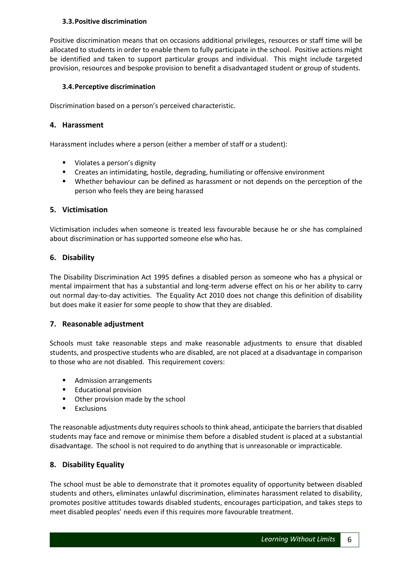#### **3.3.Positive discrimination**

Positive discrimination means that on occasions additional privileges, resources or staff time will be allocated to students in order to enable them to fully participate in the school. Positive actions might be identified and taken to support particular groups and individual. This might include targeted provision, resources and bespoke provision to benefit a disadvantaged student or group of students.

#### **3.4.Perceptive discrimination**

Discrimination based on a person's perceived characteristic.

#### **4. Harassment**

Harassment includes where a person (either a member of staff or a student):

- **URICAL SHEADER** Violates a person's dignity
- **EXP** Creates an intimidating, hostile, degrading, humiliating or offensive environment
- Whether behaviour can be defined as harassment or not depends on the perception of the person who feels they are being harassed

#### **5. Victimisation**

Victimisation includes when someone is treated less favourable because he or she has complained about discrimination or has supported someone else who has.

#### **6. Disability**

The Disability Discrimination Act 1995 defines a disabled person as someone who has a physical or mental impairment that has a substantial and long-term adverse effect on his or her ability to carry out normal day-to-day activities. The Equality Act 2010 does not change this definition of disability but does make it easier for some people to show that they are disabled.

#### **7. Reasonable adjustment**

Schools must take reasonable steps and make reasonable adjustments to ensure that disabled students, and prospective students who are disabled, are not placed at a disadvantage in comparison to those who are not disabled. This requirement covers:

- **Admission arrangements**
- **Educational provision**
- **•** Other provision made by the school
- **Exclusions**

The reasonable adjustments duty requires schools to think ahead, anticipate the barriers that disabled students may face and remove or minimise them before a disabled student is placed at a substantial disadvantage. The school is not required to do anything that is unreasonable or impracticable.

#### **8. Disability Equality**

The school must be able to demonstrate that it promotes equality of opportunity between disabled students and others, eliminates unlawful discrimination, eliminates harassment related to disability, promotes positive attitudes towards disabled students, encourages participation, and takes steps to meet disabled peoples' needs even if this requires more favourable treatment.